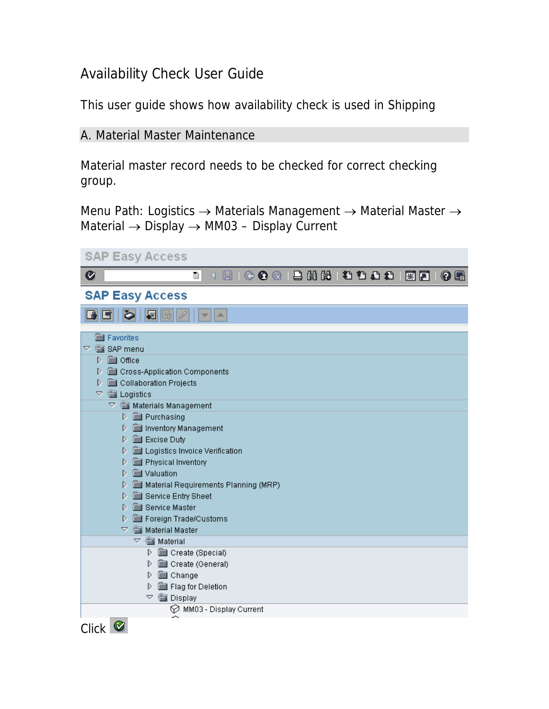## Availability Check User Guide

This user guide shows how availability check is used in Shipping

## A. Material Master Maintenance

Material master record needs to be checked for correct checking group.

Menu Path: Logistics  $\rightarrow$  Materials Management  $\rightarrow$  Material Master  $\rightarrow$ Material  $\rightarrow$  Display  $\rightarrow$  MM03 – Display Current

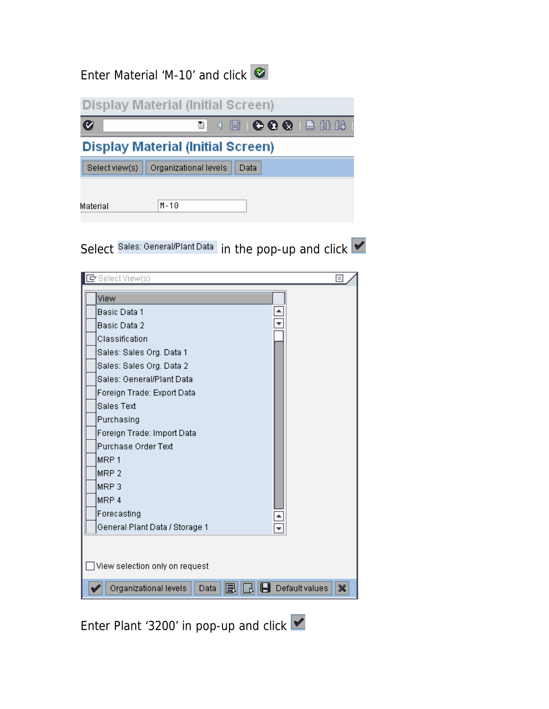## Enter Material 'M-10' and click



Select Sales: General/Plant Data in the pop-up and click

| View             | Basic Data 1                   |  |
|------------------|--------------------------------|--|
|                  |                                |  |
|                  |                                |  |
|                  | Basic Data 2                   |  |
|                  | Classification                 |  |
|                  | Sales: Sales Org. Data 1       |  |
|                  | Sales: Sales Org. Data 2       |  |
|                  | Sales: General/Plant Data      |  |
|                  | Foreign Trade: Export Data     |  |
|                  | <b>Sales Text</b>              |  |
|                  | Purchasing                     |  |
|                  | Foreign Trade: Import Data     |  |
|                  | Purchase Order Text            |  |
| MRP <sub>1</sub> |                                |  |
| MRP <sub>2</sub> |                                |  |
| MRP3             |                                |  |
| MRP 4            |                                |  |
|                  | Forecasting                    |  |
|                  | General Plant Data / Storage 1 |  |

Enter Plant '3200' in pop-up and click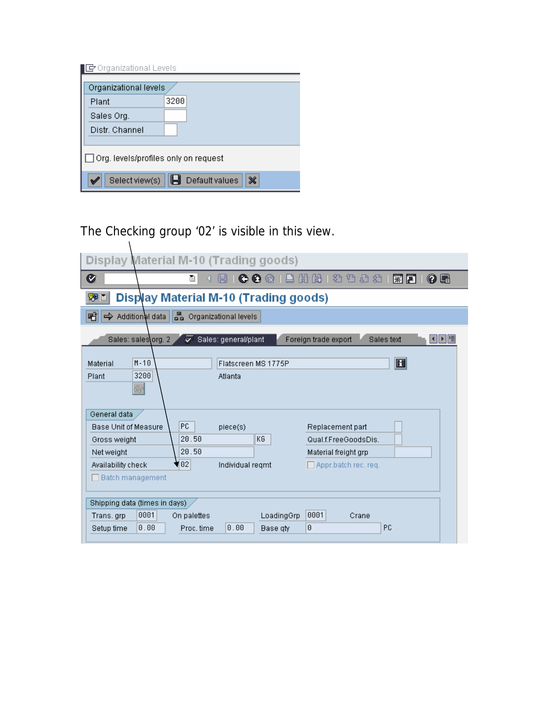| Organizational levels                       |      |  |  |  |  |  |
|---------------------------------------------|------|--|--|--|--|--|
| Plant                                       | 3200 |  |  |  |  |  |
| Sales Org.                                  |      |  |  |  |  |  |
| Distr. Channel                              |      |  |  |  |  |  |
|                                             |      |  |  |  |  |  |
| $\Box$ Org. levels/profiles only on request |      |  |  |  |  |  |
| ×<br>Default values<br>Select view(s)       |      |  |  |  |  |  |

The Checking group '02' is visible in this view.

| Display Material M-10 (Trading goods)                                                                                                                                                                                                                      |
|------------------------------------------------------------------------------------------------------------------------------------------------------------------------------------------------------------------------------------------------------------|
| 出出 20 0 0 0<br>Ø<br>◔◐⊗<br>ū<br>0 E<br>※ 2                                                                                                                                                                                                                 |
| <b>Display Material M-10 (Trading goods)</b><br>ゆ目                                                                                                                                                                                                         |
| 롦<br>噌<br>Additional data<br>Organizational levels                                                                                                                                                                                                         |
| Sales: sales\org. 2<br>Sales: general/plant<br>ङ<br>Foreign trade export<br>Sales text<br>세계별                                                                                                                                                              |
| $\bf \mathbb F$<br>$M - 10$<br>Material<br>Flatscreen MS 1775P<br>3200<br>Plant<br>Atlanta<br>4                                                                                                                                                            |
| General data<br>PC.<br>Base Unit of Measure<br>piece(s)<br>Replacement part<br>20.50<br>KG<br>Qual.f.FreeGoodsDis.<br>Gross weight<br>20.50<br>Net weight<br>Material freight grp<br>¶02<br>Availability check<br>Individual regmt<br>Appr.batch rec. req. |
| Batch management<br>Shipping data (times in days)<br>0001<br>0001<br>On palettes<br>LoadingGrp<br>Trans.grp<br>Crane<br>0<br>PC<br>0.00<br>0.00<br>Proc. time<br>Setup time<br>Base qty                                                                    |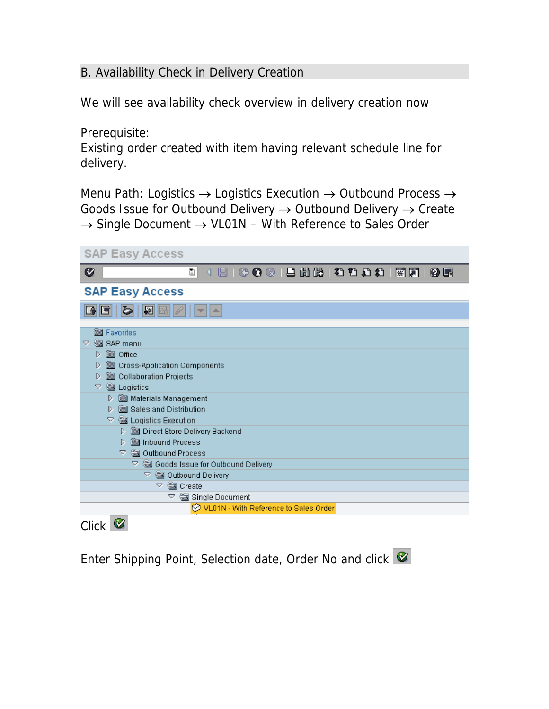## B. Availability Check in Delivery Creation

We will see availability check overview in delivery creation now

Prerequisite:

Existing order created with item having relevant schedule line for delivery.

Menu Path: Logistics → Logistics Execution → Outbound Process → Goods Issue for Outbound Delivery → Outbound Delivery → Create → Single Document → VL01N – With Reference to Sales Order

| <b>SAP Easy Access</b>                                                                                     |
|------------------------------------------------------------------------------------------------------------|
| Ø<br>Ū<br>◁                                                                                                |
| <b>SAP Easy Access</b>                                                                                     |
| K<br>盀                                                                                                     |
| Favorites<br>SAP menu<br>▽<br><b>s</b> Office<br>D                                                         |
| Cross-Application Components<br>D<br>Collaboration Projects<br>D<br><b>WE Logistics</b><br>▽               |
| Materials Management<br>D.<br>Sales and Distribution<br>D.<br>Logistics Execution<br>v.                    |
| Direct Store Delivery Backend<br>D<br><b>Sull</b> Inbound Process<br>D<br><b>《國 Outbound Process</b><br>O. |
| ▽ ▒ Outbound Delivery                                                                                      |
| <b>Solution</b> Create<br>$\triangledown$<br>Single Document<br>A                                          |
| VL01N - With Reference to Sales Order                                                                      |
| <b>Click</b>                                                                                               |

Enter Shipping Point, Selection date, Order No and click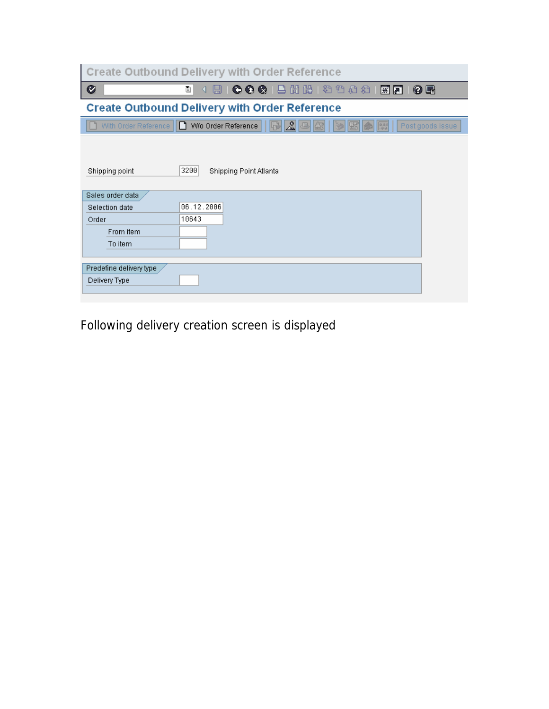|                                    | <b>Create Outbound Delivery with Order Reference</b>                  |
|------------------------------------|-----------------------------------------------------------------------|
| Ø                                  | (HICOCIBHHHDDD)<br>0 E<br>ū<br>紧圆                                     |
|                                    | <b>Create Outbound Delivery with Order Reference</b>                  |
| With Order Reference               | ∠ଅ<br>ID.<br>W/o Order Reference<br>Post goods issue<br>398<br>$\Phi$ |
| Shipping point                     | 3200<br>Shipping Point Atlanta                                        |
| Sales order data<br>Selection date | 06.12.2006                                                            |
| Order                              | 10643                                                                 |
| From item                          |                                                                       |
| To item                            |                                                                       |
|                                    |                                                                       |
| Predefine delivery type            |                                                                       |
| Delivery Type                      |                                                                       |
|                                    |                                                                       |

Following delivery creation screen is displayed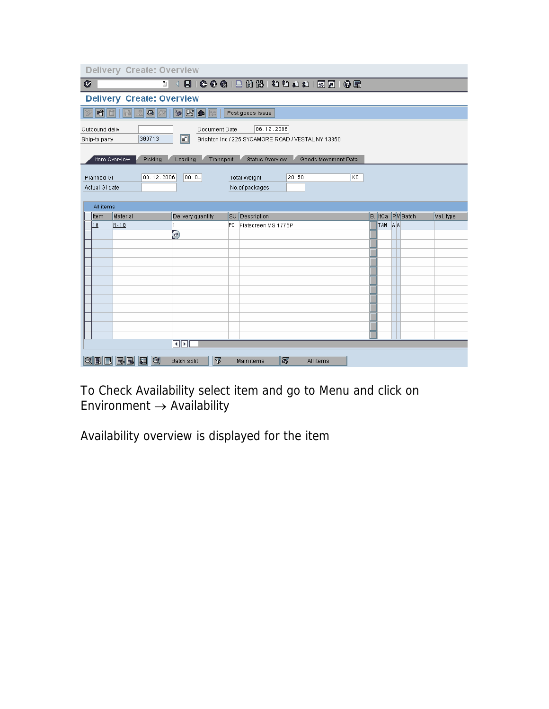| Delivery Create: Overview                                                                                                            |                |                                    |                                                   |     |                       |                     |    |  |        |                         |           |
|--------------------------------------------------------------------------------------------------------------------------------------|----------------|------------------------------------|---------------------------------------------------|-----|-----------------------|---------------------|----|--|--------|-------------------------|-----------|
| Ø<br>Ō<br>◁                                                                                                                          |                |                                    |                                                   |     |                       |                     |    |  |        |                         |           |
| <b>Delivery Create: Overview</b>                                                                                                     |                |                                    |                                                   |     |                       |                     |    |  |        |                         |           |
| $\triangleright$ $\triangleright$ $\triangleright$<br>20<br>昭日<br>國<br>Post goods issue<br>啼                                         |                |                                    |                                                   |     |                       |                     |    |  |        |                         |           |
| 06.12.2006<br>Document Date<br>Outbound deliv.<br>Ð<br>300713<br>Brighton Inc / 225 SYCAMORE ROAD / VESTAL NY 13850<br>Ship-to party |                |                                    |                                                   |     |                       |                     |    |  |        |                         |           |
|                                                                                                                                      | Item Overview  | Picking                            | Loading<br>Transport                              |     | Status Overview       | Goods Movement Data |    |  |        |                         |           |
|                                                                                                                                      | Planned GI     | 08.12.2006                         | 00:0.                                             |     | <b>Total Weight</b>   | 20.50               | KG |  |        |                         |           |
|                                                                                                                                      | Actual GI date |                                    |                                                   |     | No.of packages        |                     |    |  |        |                         |           |
|                                                                                                                                      | All items      |                                    |                                                   |     |                       |                     |    |  |        |                         |           |
|                                                                                                                                      | Item           | Material                           | Delivery quantity                                 |     | <b>SU</b> Description |                     |    |  |        | <b>B.</b> ItCa PV Batch | Val. type |
|                                                                                                                                      | $\mathbf{10}$  | $M - 10$                           | 1                                                 | PC. | Flatscreen MS 1775P   |                     |    |  | TAN AA |                         |           |
|                                                                                                                                      |                |                                    | Θ                                                 |     |                       |                     |    |  |        |                         |           |
|                                                                                                                                      |                |                                    |                                                   |     |                       |                     |    |  |        |                         |           |
|                                                                                                                                      |                |                                    |                                                   |     |                       |                     |    |  |        |                         |           |
|                                                                                                                                      |                |                                    |                                                   |     |                       |                     |    |  |        |                         |           |
|                                                                                                                                      |                |                                    |                                                   |     |                       |                     |    |  |        |                         |           |
|                                                                                                                                      |                |                                    |                                                   |     |                       |                     |    |  |        |                         |           |
|                                                                                                                                      |                |                                    |                                                   |     |                       |                     |    |  |        |                         |           |
|                                                                                                                                      |                |                                    |                                                   |     |                       |                     |    |  |        |                         |           |
|                                                                                                                                      |                |                                    |                                                   |     |                       |                     |    |  |        |                         |           |
|                                                                                                                                      |                |                                    |                                                   |     |                       |                     |    |  |        |                         |           |
|                                                                                                                                      |                |                                    |                                                   |     |                       |                     |    |  |        |                         |           |
|                                                                                                                                      |                |                                    |                                                   |     |                       |                     |    |  |        |                         |           |
|                                                                                                                                      |                |                                    | $\overline{\mathcal{A}}$ $\overline{\mathcal{F}}$ |     |                       |                     |    |  |        |                         |           |
|                                                                                                                                      |                | <b>QBBBB</b><br>$  \mathfrak{A}  $ | ገ<br><b>Batch split</b>                           |     | 郾<br>Main items       | All items           |    |  |        |                         |           |

To Check Availability select item and go to Menu and click on Environment  $\rightarrow$  Availability

Availability overview is displayed for the item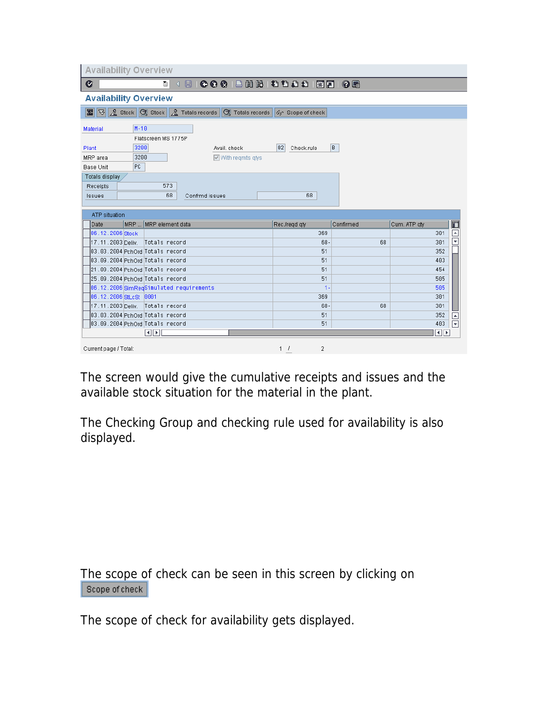| <b>Availability Overview</b>                                                                                                            |                   |           |              |                          |  |  |  |
|-----------------------------------------------------------------------------------------------------------------------------------------|-------------------|-----------|--------------|--------------------------|--|--|--|
| Ø<br>O I                                                                                                                                |                   |           |              |                          |  |  |  |
| <b>Availability Overview</b>                                                                                                            |                   |           |              |                          |  |  |  |
| <b>x</b> $\frac{1}{2}$ Stock $\frac{1}{2}$ Stock $\frac{1}{2}$ Totals records $\frac{1}{2}$ Totals records $\frac{1}{2}$ Scope of check |                   |           |              |                          |  |  |  |
| $M - 10$<br>Material                                                                                                                    |                   |           |              |                          |  |  |  |
| Flatscreen MS 1775P                                                                                                                     |                   |           |              |                          |  |  |  |
| 3200<br>Plant<br>Avail, check                                                                                                           | 02 <br>Check.rule | B.        |              |                          |  |  |  |
| 3200<br>MRP area<br>$\boxed{\triangleright}$ With regmts gtys                                                                           |                   |           |              |                          |  |  |  |
| PC.<br><b>Base Unit</b>                                                                                                                 |                   |           |              |                          |  |  |  |
| Totals display                                                                                                                          |                   |           |              |                          |  |  |  |
| 573<br>Receipts                                                                                                                         |                   |           |              |                          |  |  |  |
| 68<br>Confrmd issues<br>Issues                                                                                                          | 68                |           |              |                          |  |  |  |
|                                                                                                                                         |                   |           |              |                          |  |  |  |
| <b>ATP</b> situation                                                                                                                    |                   |           |              |                          |  |  |  |
| MRP  MRP element data<br>Date                                                                                                           | Rec./regd.gty     | Confirmed | Cum. ATP qty | 而                        |  |  |  |
| 06.12.2006 Stock                                                                                                                        | 369               |           | 301          | $\overline{\phantom{a}}$ |  |  |  |
| 17.11.2003 Deliy   Totals record                                                                                                        |                   |           |              | ≂                        |  |  |  |
|                                                                                                                                         | 68.               | 68        | 301          |                          |  |  |  |
| 03.03.2004 PchOrd Totals record                                                                                                         | 51                |           | 352          |                          |  |  |  |
| 03.09.2004 PchOrd Totals record                                                                                                         | 51                |           | 403          |                          |  |  |  |
| 21.09.2004 PchOrd Totals record                                                                                                         | 51                |           | 454          |                          |  |  |  |
| 25.09.2004 PchOrd Totals record                                                                                                         | 51                |           | 505          |                          |  |  |  |
| 06.12.2006 SimReqSimulated requirements                                                                                                 | 1.                |           | 505          |                          |  |  |  |
| 06.12.2006 StLcSt 0001                                                                                                                  | 369               |           | 301          |                          |  |  |  |
| 17.11.2003 Deliy   Totals record                                                                                                        | 68.               | 68        | 301          |                          |  |  |  |
| 03.03.2004 PchOrd Totals record                                                                                                         | 51                |           | 352          | $\overline{ }$           |  |  |  |
| 03.09.2004 PchOrd Totals record                                                                                                         | 51                |           | 403          | $\overline{\mathbf{v}}$  |  |  |  |
| $\overline{ \cdot }$                                                                                                                    |                   |           | ৰাচ          |                          |  |  |  |

The screen would give the cumulative receipts and issues and the available stock situation for the material in the plant.

The Checking Group and checking rule used for availability is also displayed.

The scope of check can be seen in this screen by clicking on Scope of check

The scope of check for availability gets displayed.